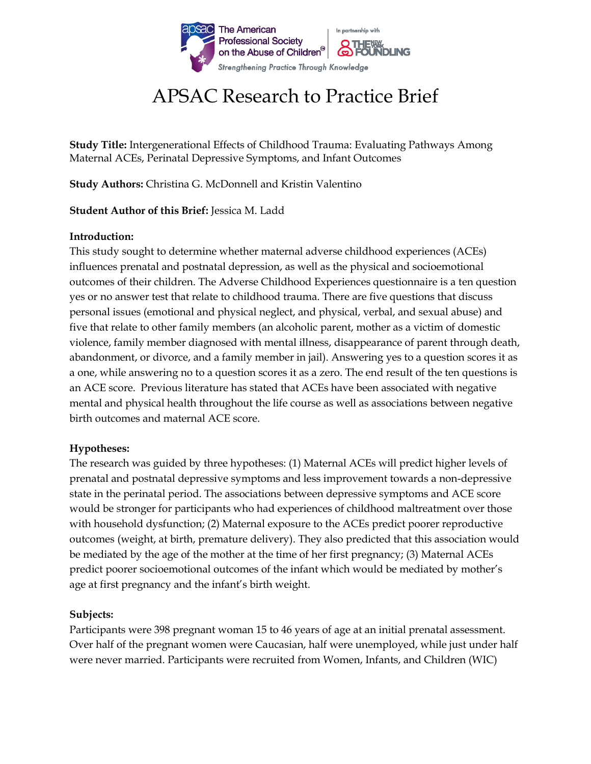

# APSAC Research to Practice Brief

**Study Title:** Intergenerational Effects of Childhood Trauma: Evaluating Pathways Among Maternal ACEs, Perinatal Depressive Symptoms, and Infant Outcomes

**Study Authors:** Christina G. McDonnell and Kristin Valentino

**Student Author of this Brief:** Jessica M. Ladd

# **Introduction:**

This study sought to determine whether maternal adverse childhood experiences (ACEs) influences prenatal and postnatal depression, as well as the physical and socioemotional outcomes of their children. The Adverse Childhood Experiences questionnaire is a ten question yes or no answer test that relate to childhood trauma. There are five questions that discuss personal issues (emotional and physical neglect, and physical, verbal, and sexual abuse) and five that relate to other family members (an alcoholic parent, mother as a victim of domestic violence, family member diagnosed with mental illness, disappearance of parent through death, abandonment, or divorce, and a family member in jail). Answering yes to a question scores it as a one, while answering no to a question scores it as a zero. The end result of the ten questions is an ACE score. Previous literature has stated that ACEs have been associated with negative mental and physical health throughout the life course as well as associations between negative birth outcomes and maternal ACE score.

#### **Hypotheses:**

The research was guided by three hypotheses: (1) Maternal ACEs will predict higher levels of prenatal and postnatal depressive symptoms and less improvement towards a non-depressive state in the perinatal period. The associations between depressive symptoms and ACE score would be stronger for participants who had experiences of childhood maltreatment over those with household dysfunction; (2) Maternal exposure to the ACEs predict poorer reproductive outcomes (weight, at birth, premature delivery). They also predicted that this association would be mediated by the age of the mother at the time of her first pregnancy; (3) Maternal ACEs predict poorer socioemotional outcomes of the infant which would be mediated by mother's age at first pregnancy and the infant's birth weight.

#### **Subjects:**

Participants were 398 pregnant woman 15 to 46 years of age at an initial prenatal assessment. Over half of the pregnant women were Caucasian, half were unemployed, while just under half were never married. Participants were recruited from Women, Infants, and Children (WIC)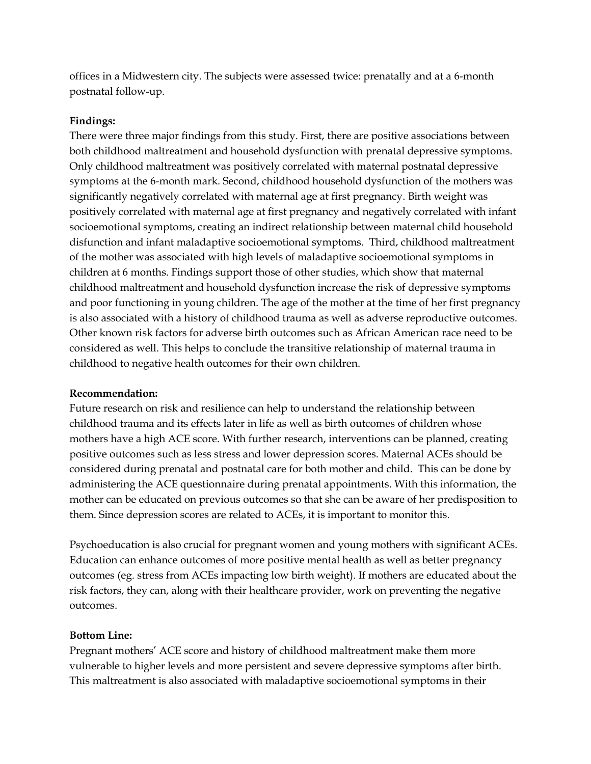offices in a Midwestern city. The subjects were assessed twice: prenatally and at a 6-month postnatal follow-up.

### **Findings:**

There were three major findings from this study. First, there are positive associations between both childhood maltreatment and household dysfunction with prenatal depressive symptoms. Only childhood maltreatment was positively correlated with maternal postnatal depressive symptoms at the 6-month mark. Second, childhood household dysfunction of the mothers was significantly negatively correlated with maternal age at first pregnancy. Birth weight was positively correlated with maternal age at first pregnancy and negatively correlated with infant socioemotional symptoms, creating an indirect relationship between maternal child household disfunction and infant maladaptive socioemotional symptoms. Third, childhood maltreatment of the mother was associated with high levels of maladaptive socioemotional symptoms in children at 6 months. Findings support those of other studies, which show that maternal childhood maltreatment and household dysfunction increase the risk of depressive symptoms and poor functioning in young children. The age of the mother at the time of her first pregnancy is also associated with a history of childhood trauma as well as adverse reproductive outcomes. Other known risk factors for adverse birth outcomes such as African American race need to be considered as well. This helps to conclude the transitive relationship of maternal trauma in childhood to negative health outcomes for their own children.

#### **Recommendation:**

Future research on risk and resilience can help to understand the relationship between childhood trauma and its effects later in life as well as birth outcomes of children whose mothers have a high ACE score. With further research, interventions can be planned, creating positive outcomes such as less stress and lower depression scores. Maternal ACEs should be considered during prenatal and postnatal care for both mother and child. This can be done by administering the ACE questionnaire during prenatal appointments. With this information, the mother can be educated on previous outcomes so that she can be aware of her predisposition to them. Since depression scores are related to ACEs, it is important to monitor this.

Psychoeducation is also crucial for pregnant women and young mothers with significant ACEs. Education can enhance outcomes of more positive mental health as well as better pregnancy outcomes (eg. stress from ACEs impacting low birth weight). If mothers are educated about the risk factors, they can, along with their healthcare provider, work on preventing the negative outcomes.

# **Bottom Line:**

Pregnant mothers' ACE score and history of childhood maltreatment make them more vulnerable to higher levels and more persistent and severe depressive symptoms after birth. This maltreatment is also associated with maladaptive socioemotional symptoms in their